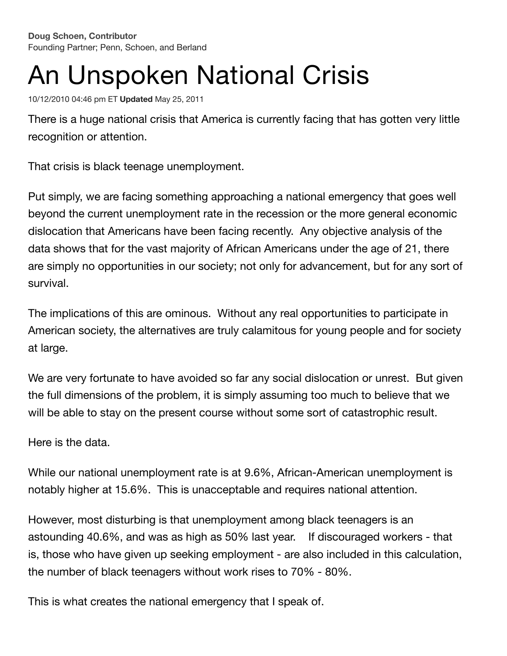**Doug [Schoen,](https://www.huffpost.com/author/doug-schoen) Contributor** Founding Partner; Penn, Schoen, and Berland

## An Unspoken National Crisis

10/12/2010 04:46 pm ET **Updated** May 25, 2011

There is a huge national crisis that America is currently facing that has gotten very little recognition or attention.

That crisis is black teenage unemployment.

Put simply, we are facing something approaching a national emergency that goes well beyond the current unemployment rate in the recession or the more general economic dislocation that Americans have been facing recently. Any objective analysis of the data shows that for the vast majority of African Americans under the age of 21, there are simply no opportunities in our society; not only for advancement, but for any sort of survival.

The implications of this are ominous. Without any real opportunities to participate in American society, the alternatives are truly calamitous for young people and for society at large.

We are very fortunate to have avoided so far any social dislocation or unrest. But given the full dimensions of the problem, it is simply assuming too much to believe that we will be able to stay on the present course without some sort of catastrophic result.

Here is the data.

While our national unemployment rate is at 9.6%, African-American unemployment is notably higher at 15.6%. This is unacceptable and requires national attention.

However, most disturbing is that unemployment among black teenagers is an astounding 40.6%, and was as high as 50% last year. If discouraged workers - that is, those who have given up seeking employment - are also included in this calculation, the number of black teenagers without work rises to 70% - 80%.

This is what creates the national emergency that I speak of.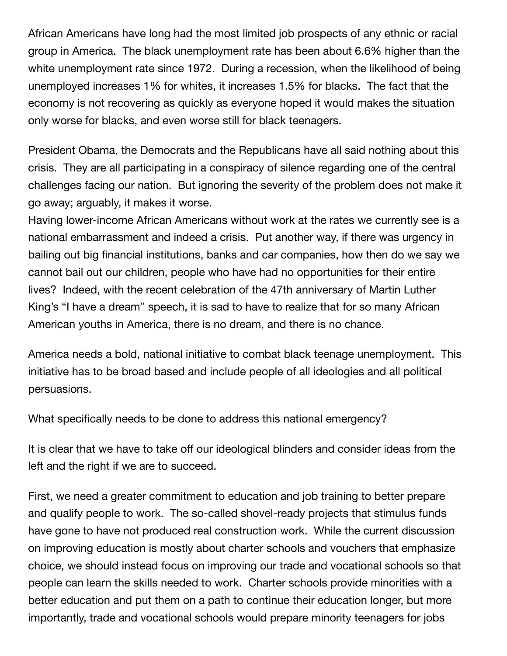African Americans have long had the most limited job prospects of any ethnic or racial group in America. The black unemployment rate has been about 6.6% higher than the white unemployment rate since 1972. During a recession, when the likelihood of being unemployed increases 1% for whites, it increases 1.5% for blacks. The fact that the economy is not recovering as quickly as everyone hoped it would makes the situation only worse for blacks, and even worse still for black teenagers.

President Obama, the Democrats and the Republicans have all said nothing about this crisis. They are all participating in a conspiracy of silence regarding one of the central challenges facing our nation. But ignoring the severity of the problem does not make it go away; arguably, it makes it worse.

Having lower-income African Americans without work at the rates we currently see is a national embarrassment and indeed a crisis. Put another way, if there was urgency in bailing out big financial institutions, banks and car companies, how then do we say we cannot bail out our children, people who have had no opportunities for their entire lives? Indeed, with the recent celebration of the 47th anniversary of Martin Luther King's "I have a dream" speech, it is sad to have to realize that for so many African American youths in America, there is no dream, and there is no chance.

America needs a bold, national initiative to combat black teenage unemployment. This initiative has to be broad based and include people of all ideologies and all political persuasions.

What specifically needs to be done to address this national emergency?

It is clear that we have to take off our ideological blinders and consider ideas from the left and the right if we are to succeed.

First, we need a greater commitment to education and job training to better prepare and qualify people to work. The so-called shovel-ready projects that stimulus funds have gone to have not produced real construction work. While the current discussion on improving education is mostly about charter schools and vouchers that emphasize choice, we should instead focus on improving our trade and vocational schools so that people can learn the skills needed to work. Charter schools provide minorities with a better education and put them on a path to continue their education longer, but more importantly, trade and vocational schools would prepare minority teenagers for jobs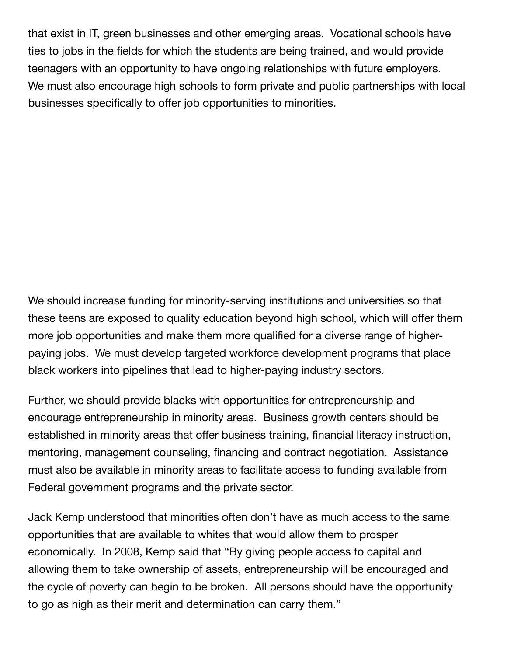that exist in IT, green businesses and other emerging areas. Vocational schools have ties to jobs in the fields for which the students are being trained, and would provide teenagers with an opportunity to have ongoing relationships with future employers. We must also encourage high schools to form private and public partnerships with local businesses specifically to offer job opportunities to minorities.

We should increase funding for minority-serving institutions and universities so that these teens are exposed to quality education beyond high school, which will offer them more job opportunities and make them more qualified for a diverse range of higherpaying jobs. We must develop targeted workforce development programs that place black workers into pipelines that lead to higher-paying industry sectors.

Further, we should provide blacks with opportunities for entrepreneurship and encourage entrepreneurship in minority areas. Business growth centers should be established in minority areas that offer business training, financial literacy instruction, mentoring, management counseling, financing and contract negotiation. Assistance must also be available in minority areas to facilitate access to funding available from Federal government programs and the private sector.

Jack Kemp understood that minorities often don't have as much access to the same opportunities that are available to whites that would allow them to prosper economically. In 2008, Kemp said that "By giving people access to capital and allowing them to take ownership of assets, entrepreneurship will be encouraged and the cycle of poverty can begin to be broken. All persons should have the opportunity to go as high as their merit and determination can carry them."